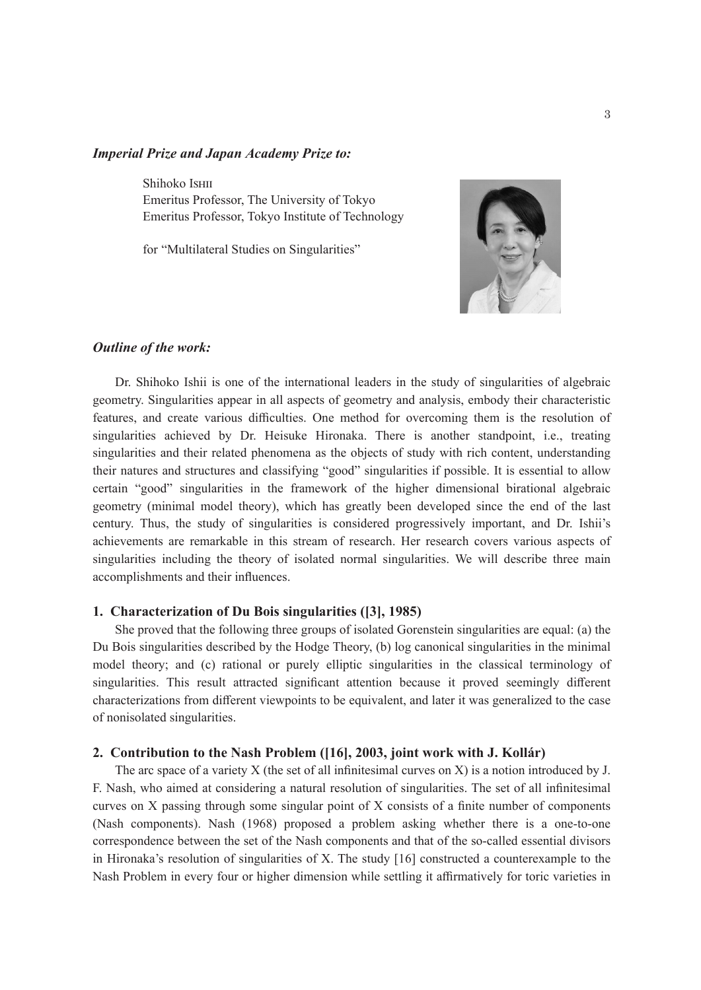## *Imperial Prize and Japan Academy Prize to:*

Shihoko Ishii Emeritus Professor, The University of Tokyo Emeritus Professor, Tokyo Institute of Technology

for "Multilateral Studies on Singularities"



## *Outline of the work:*

Dr. Shihoko Ishii is one of the international leaders in the study of singularities of algebraic geometry. Singularities appear in all aspects of geometry and analysis, embody their characteristic features, and create various difficulties. One method for overcoming them is the resolution of singularities achieved by Dr. Heisuke Hironaka. There is another standpoint, i.e., treating singularities and their related phenomena as the objects of study with rich content, understanding their natures and structures and classifying "good" singularities if possible. It is essential to allow certain "good" singularities in the framework of the higher dimensional birational algebraic geometry (minimal model theory), which has greatly been developed since the end of the last century. Thus, the study of singularities is considered progressively important, and Dr. Ishii's achievements are remarkable in this stream of research. Her research covers various aspects of singularities including the theory of isolated normal singularities. We will describe three main accomplishments and their influences.

## **1. Characterization of Du Bois singularities ([3], 1985)**

She proved that the following three groups of isolated Gorenstein singularities are equal: (a) the Du Bois singularities described by the Hodge Theory, (b) log canonical singularities in the minimal model theory; and (c) rational or purely elliptic singularities in the classical terminology of singularities. This result attracted significant attention because it proved seemingly different characterizations from different viewpoints to be equivalent, and later it was generalized to the case of nonisolated singularities.

### **2. Contribution to the Nash Problem ([16], 2003, joint work with J. Kollár)**

The arc space of a variety X (the set of all infinitesimal curves on X) is a notion introduced by J. F. Nash, who aimed at considering a natural resolution of singularities. The set of all infinitesimal curves on X passing through some singular point of X consists of a finite number of components (Nash components). Nash (1968) proposed a problem asking whether there is a one-to-one correspondence between the set of the Nash components and that of the so-called essential divisors in Hironaka's resolution of singularities of X. The study [16] constructed a counterexample to the Nash Problem in every four or higher dimension while settling it affirmatively for toric varieties in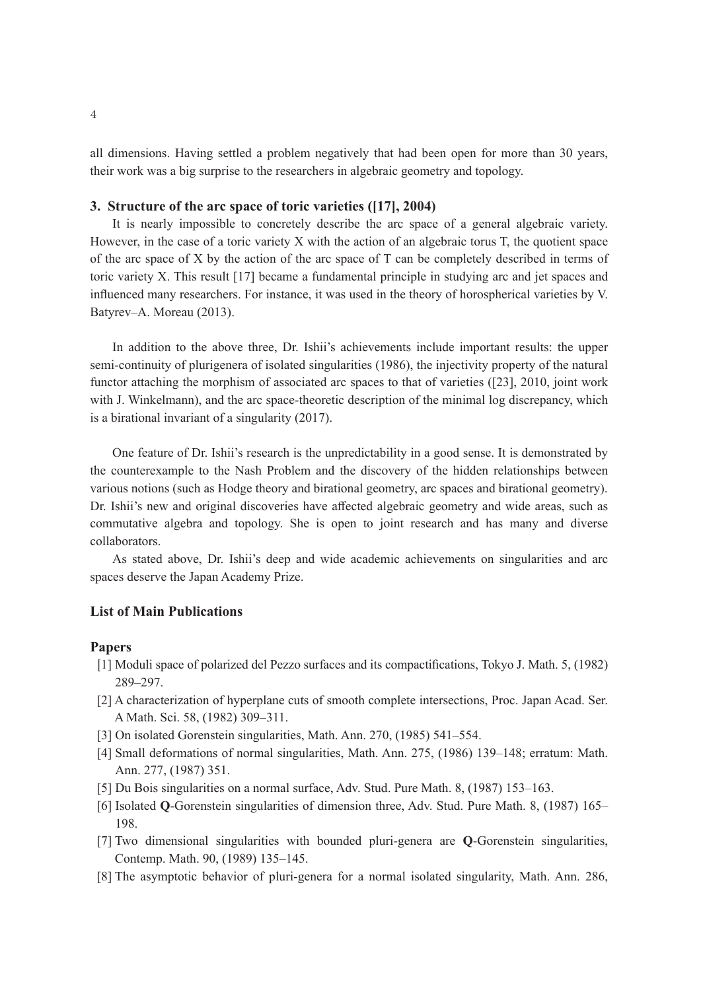all dimensions. Having settled a problem negatively that had been open for more than 30 years, their work was a big surprise to the researchers in algebraic geometry and topology.

# **3. Structure of the arc space of toric varieties ([17], 2004)**

It is nearly impossible to concretely describe the arc space of a general algebraic variety. However, in the case of a toric variety X with the action of an algebraic torus T, the quotient space of the arc space of X by the action of the arc space of T can be completely described in terms of toric variety X. This result [17] became a fundamental principle in studying arc and jet spaces and influenced many researchers. For instance, it was used in the theory of horospherical varieties by V. Batyrev–A. Moreau (2013).

In addition to the above three, Dr. Ishii's achievements include important results: the upper semi-continuity of plurigenera of isolated singularities (1986), the injectivity property of the natural functor attaching the morphism of associated arc spaces to that of varieties ([23], 2010, joint work with J. Winkelmann), and the arc space-theoretic description of the minimal log discrepancy, which is a birational invariant of a singularity (2017).

One feature of Dr. Ishii's research is the unpredictability in a good sense. It is demonstrated by the counterexample to the Nash Problem and the discovery of the hidden relationships between various notions (such as Hodge theory and birational geometry, arc spaces and birational geometry). Dr. Ishii's new and original discoveries have affected algebraic geometry and wide areas, such as commutative algebra and topology. She is open to joint research and has many and diverse collaborators.

As stated above, Dr. Ishii's deep and wide academic achievements on singularities and arc spaces deserve the Japan Academy Prize.

# **List of Main Publications**

#### **Papers**

- [1] Moduli space of polarized del Pezzo surfaces and its compactifications, Tokyo J. Math. 5, (1982) 289–297.
- [2] A characterization of hyperplane cuts of smooth complete intersections, Proc. Japan Acad. Ser. A Math. Sci. 58, (1982) 309–311.
- [3] On isolated Gorenstein singularities, Math. Ann. 270, (1985) 541–554.
- [4] Small deformations of normal singularities, Math. Ann. 275, (1986) 139–148; erratum: Math. Ann. 277, (1987) 351.
- [5] Du Bois singularities on a normal surface, Adv. Stud. Pure Math. 8, (1987) 153–163.
- [6] Isolated **Q**-Gorenstein singularities of dimension three, Adv. Stud. Pure Math. 8, (1987) 165– 198.
- [7] Two dimensional singularities with bounded pluri-genera are **Q**-Gorenstein singularities, Contemp. Math. 90, (1989) 135–145.
- [8] The asymptotic behavior of pluri-genera for a normal isolated singularity, Math. Ann. 286,